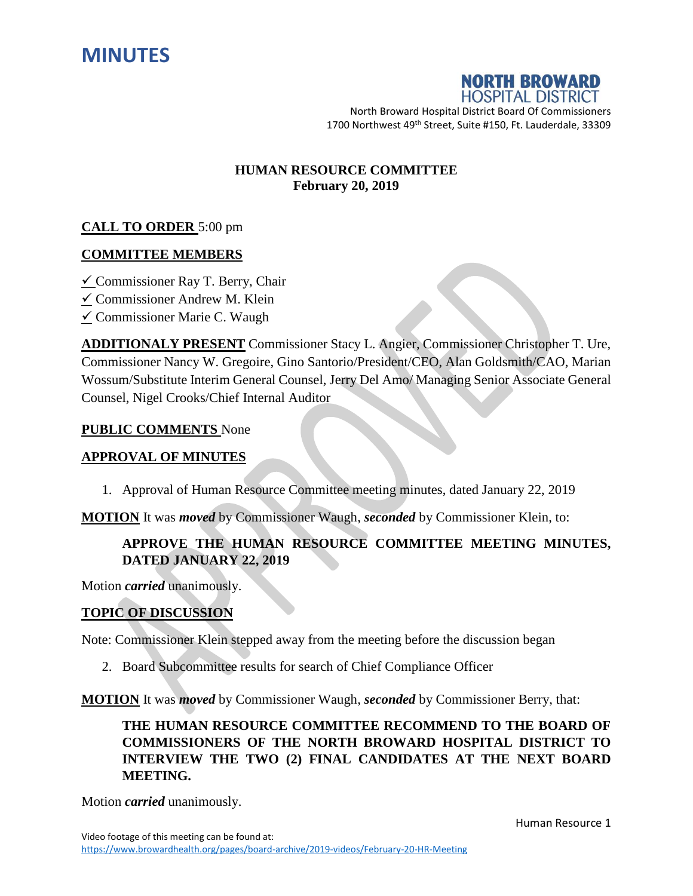



North Broward Hospital District Board Of Commissioners 1700 Northwest 49<sup>th</sup> Street, Suite #150, Ft. Lauderdale, 33309

### **HUMAN RESOURCE COMMITTEE February 20, 2019**

## **CALL TO ORDER** 5:00 pm

### **COMMITTEE MEMBERS**

- $\checkmark$  Commissioner Ray T. Berry, Chair
- Commissioner Andrew M. Klein
- $\angle$  Commissioner Marie C. Waugh

**ADDITIONALY PRESENT** Commissioner Stacy L. Angier, Commissioner Christopher T. Ure, Commissioner Nancy W. Gregoire, Gino Santorio/President/CEO, Alan Goldsmith/CAO, Marian Wossum/Substitute Interim General Counsel, Jerry Del Amo/ Managing Senior Associate General Counsel, Nigel Crooks/Chief Internal Auditor

#### **PUBLIC COMMENTS** None

### **APPROVAL OF MINUTES**

1. Approval of Human Resource Committee meeting minutes, dated January 22, 2019

**MOTION** It was *moved* by Commissioner Waugh, *seconded* by Commissioner Klein, to:

# **APPROVE THE HUMAN RESOURCE COMMITTEE MEETING MINUTES, DATED JANUARY 22, 2019**

Motion *carried* unanimously.

### **TOPIC OF DISCUSSION**

Note: Commissioner Klein stepped away from the meeting before the discussion began

2. Board Subcommittee results for search of Chief Compliance Officer

**MOTION** It was *moved* by Commissioner Waugh, *seconded* by Commissioner Berry, that:

**THE HUMAN RESOURCE COMMITTEE RECOMMEND TO THE BOARD OF COMMISSIONERS OF THE NORTH BROWARD HOSPITAL DISTRICT TO INTERVIEW THE TWO (2) FINAL CANDIDATES AT THE NEXT BOARD MEETING.**

Motion *carried* unanimously.

Human Resource 1